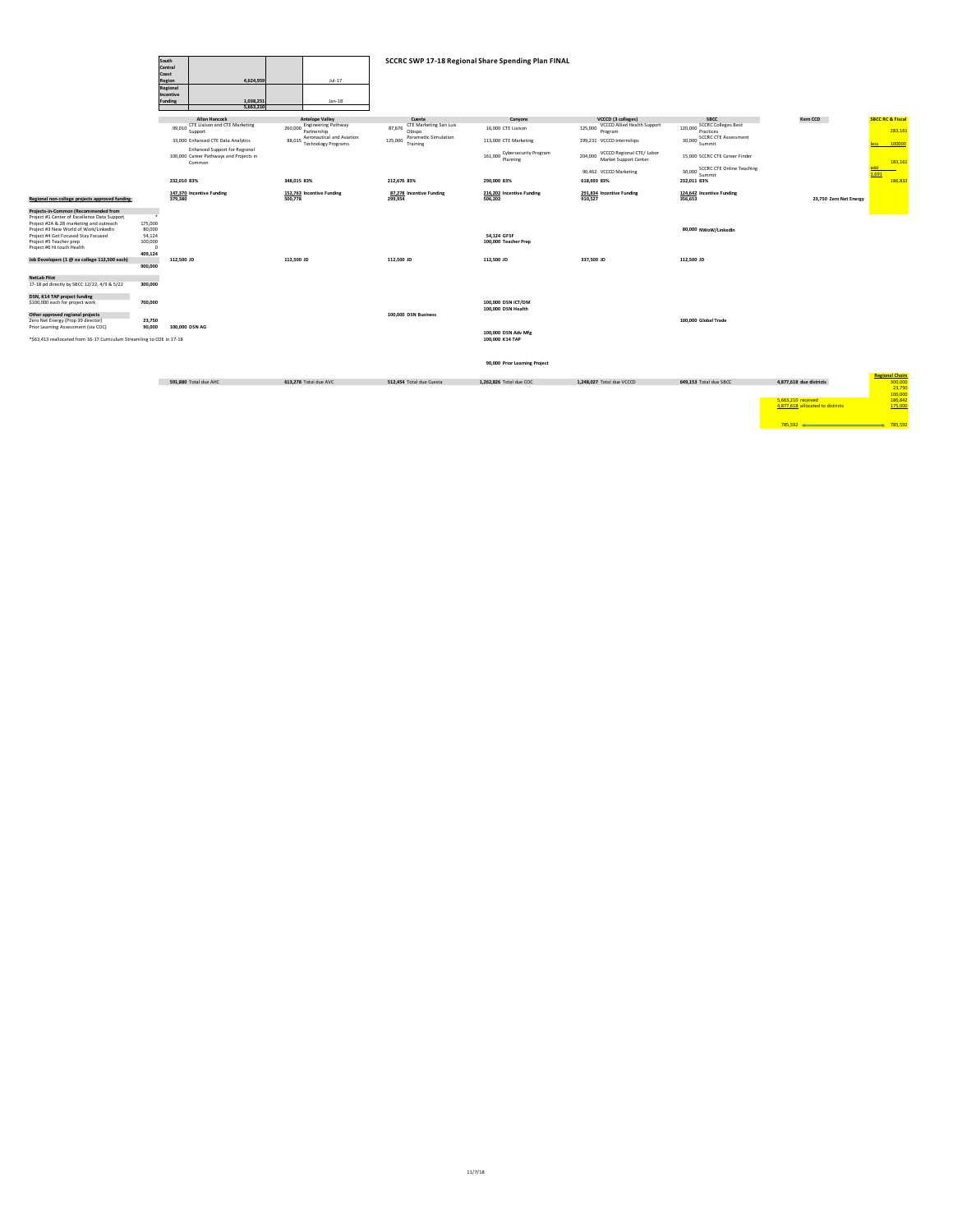| South<br>Central<br>Coast<br>Region<br>Regional<br>Incentive<br>Funding                                                                                                                                                                                                                                                                                                                        |                                                                                     |                | 4.624.959<br>$Jul-17$<br>1,038,251<br>$Jan-18$<br>5.663.210                               |             |                                            | SCCRC SWP 17-18 Regional Share Spending Plan FINAL |                                            |                                                     |                                                               |                                          |                                                        |                             |
|------------------------------------------------------------------------------------------------------------------------------------------------------------------------------------------------------------------------------------------------------------------------------------------------------------------------------------------------------------------------------------------------|-------------------------------------------------------------------------------------|----------------|-------------------------------------------------------------------------------------------|-------------|--------------------------------------------|----------------------------------------------------|--------------------------------------------|-----------------------------------------------------|---------------------------------------------------------------|------------------------------------------|--------------------------------------------------------|-----------------------------|
|                                                                                                                                                                                                                                                                                                                                                                                                |                                                                                     |                | <b>Allan Hancock</b>                                                                      |             | <b>Antelope Valley</b>                     |                                                    | Cuesta                                     | Canyons                                             | VCCCD (3 colleges)                                            | <b>SBCC</b>                              | Kern CCD                                               | <b>SBCC RC &amp; Fiscal</b> |
|                                                                                                                                                                                                                                                                                                                                                                                                |                                                                                     |                | 99,010 CTE Liaison and CTE Marketing<br>Support                                           |             | 260,000 Engineering Pathway<br>Partnership |                                                    | CTE Marketing San Luis<br>87,676<br>Obispo | 16,000 CTE Liaison                                  | VCCCD Allied Health Support<br>125,000<br>Program             | 120,000 SCCRC Colleges Best<br>Practices |                                                        | 283,161                     |
|                                                                                                                                                                                                                                                                                                                                                                                                |                                                                                     |                | 33.000 Enhanced CTE Data Analytics                                                        | 88,015      | Aeronautical and Aviation                  | 125,000                                            | Paramedic Simulation                       | 113,000 CTE Marketing                               | 199.231 VCCCD Internships                                     | 30,000 SCCRC CTE Assessment              |                                                        |                             |
|                                                                                                                                                                                                                                                                                                                                                                                                |                                                                                     |                |                                                                                           |             | <b>Technology Programs</b>                 |                                                    | Training                                   |                                                     |                                                               | Summit                                   |                                                        | 100000<br>less              |
|                                                                                                                                                                                                                                                                                                                                                                                                |                                                                                     |                | <b>Enhanced Support for Regional</b><br>100,000 Career Pathways and Projects in<br>Common |             |                                            |                                                    |                                            | <b>Cybersecurity Program</b><br>161,000<br>Planning | VCCCD Regional CTE/ Labor<br>204,000<br>Market Support Center | 15,000 SCCRC CTE Career Finder           |                                                        | 183,161                     |
|                                                                                                                                                                                                                                                                                                                                                                                                |                                                                                     |                |                                                                                           |             |                                            |                                                    |                                            |                                                     | 90,462 VCCCD Marketing                                        | 30.000 SCCRC CTE Online Teaching         |                                                        |                             |
|                                                                                                                                                                                                                                                                                                                                                                                                |                                                                                     | 232,010 83%    |                                                                                           | 348,015 83% |                                            |                                                    | 212,676 83%                                | 290,000 83%                                         | 618,693 83%                                                   | Summit<br>232,011 83%                    |                                                        | 3,691<br>186,832            |
| Regional non-college projects approved funding:                                                                                                                                                                                                                                                                                                                                                |                                                                                     | 379,380        | 147,370 Incentive Funding                                                                 | 500.778     | 152,763 Incentive Funding                  |                                                    | 87.278 Incentive Funding<br>299,954        | 216.202 Incentive Funding<br>506.202                | 291.834 Incentive Funding<br>910.527                          | 124.642 Incentive Funding<br>356,653     | 23,750 Zero Net Energy                                 |                             |
| Projects-in-Common (Recommended from<br>Project #1 Center of Excellence Data Support<br>Project #2A & 2B marketing and outreach<br>Project #3 New World of Work/LinkedIn<br>Project #4 Get Focused Stay Focused<br>Project #5 Teacher prep<br>Project #6 Hi touch Health<br>Job Developers (1 @ ea college 112,500 each)<br><b>NetLab Pilot</b><br>17-18 pd directly by SBCC 12/22, 4/9 & 5/22 | 175,000<br>80,000<br>54,124<br>100,000<br>$\Omega$<br>409.124<br>900,000<br>300,000 | 112,500 JD     |                                                                                           | 112,500 JD  |                                            |                                                    | 112,500 JD                                 | 54,124 GFSF<br>100,000 Teacher Prep<br>112,500 JD   | 337,500 JD                                                    | 80,000 NWoW/LinkedIn<br>112,500 JD       |                                                        |                             |
| DSN, K14 TAP project funding                                                                                                                                                                                                                                                                                                                                                                   |                                                                                     |                |                                                                                           |             |                                            |                                                    |                                            |                                                     |                                                               |                                          |                                                        |                             |
| \$100,000 each for project work                                                                                                                                                                                                                                                                                                                                                                | 700,000                                                                             |                |                                                                                           |             |                                            |                                                    |                                            | 100,000 DSN ICT/DM<br>100,000 DSN Health            |                                                               |                                          |                                                        |                             |
| Other approved regional projects                                                                                                                                                                                                                                                                                                                                                               |                                                                                     |                |                                                                                           |             |                                            |                                                    | 100,000 DSN Business                       |                                                     |                                                               |                                          |                                                        |                             |
| Zero Net Energy (Prop 39 director)<br>Prior Learning Assessment (via COC)                                                                                                                                                                                                                                                                                                                      | 23,750<br>90,000                                                                    |                |                                                                                           |             |                                            |                                                    |                                            |                                                     |                                                               | 100,000 Global Trade                     |                                                        |                             |
| *\$63,413 reallocated from 16-17 Curriculum Streamling to COE in 17-18                                                                                                                                                                                                                                                                                                                         |                                                                                     | 100,000 DSN AG |                                                                                           |             |                                            |                                                    |                                            | 100,000 DSN Adv Mfg<br>100,000 K14 TAP              |                                                               |                                          |                                                        |                             |
|                                                                                                                                                                                                                                                                                                                                                                                                |                                                                                     |                |                                                                                           |             |                                            |                                                    |                                            | 90,000 Prior Learning Project                       |                                                               |                                          |                                                        | <b>Regional Chairs</b>      |
|                                                                                                                                                                                                                                                                                                                                                                                                |                                                                                     |                | 591.880 Total due AHC                                                                     |             | 613,278 Total due AVC                      |                                                    | 512.454 Total due Cuesta                   | 1.262.826 Total due COC                             | 1.248.027 Total due VCCCD                                     | 649.153 Total due SBCC                   | 4,877,618 due districts                                | 300,000<br>23,750           |
|                                                                                                                                                                                                                                                                                                                                                                                                |                                                                                     |                |                                                                                           |             |                                            |                                                    |                                            |                                                     |                                                               |                                          |                                                        | 100,000                     |
|                                                                                                                                                                                                                                                                                                                                                                                                |                                                                                     |                |                                                                                           |             |                                            |                                                    |                                            |                                                     |                                                               |                                          | 5.663.210 received<br>4.877.618 allocated to districts | 186,842<br>175,000          |

785,592 785,592